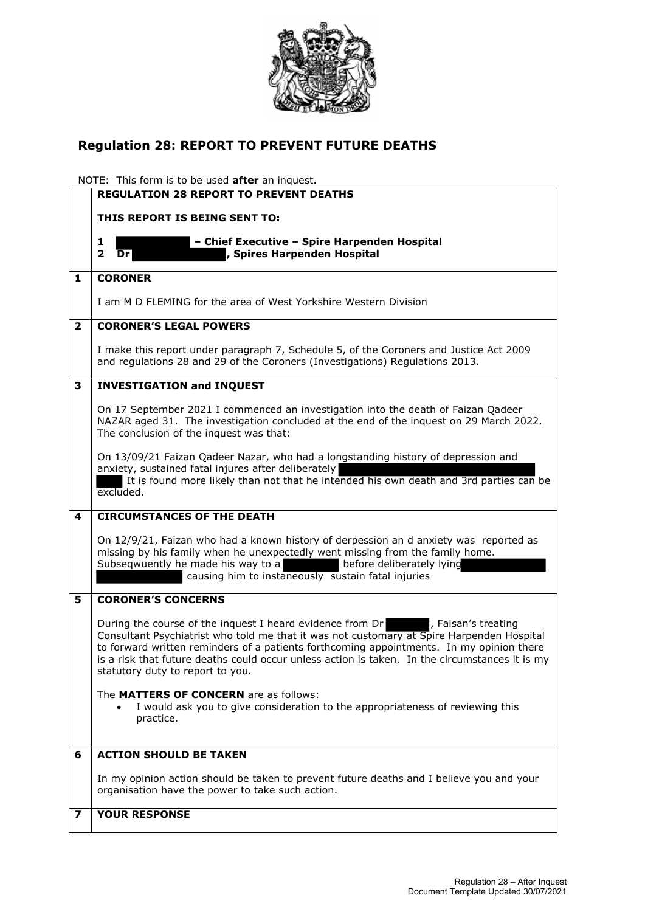

## **Regulation 28: REPORT TO PREVENT FUTURE DEATHS**

NOTE: This form is to be used **after** an inquest.

|                | <b>REGULATION 28 REPORT TO PREVENT DEATHS</b>                                                                                                                                                                                                                                                                                                                                                              |
|----------------|------------------------------------------------------------------------------------------------------------------------------------------------------------------------------------------------------------------------------------------------------------------------------------------------------------------------------------------------------------------------------------------------------------|
|                | THIS REPORT IS BEING SENT TO:                                                                                                                                                                                                                                                                                                                                                                              |
|                | - Chief Executive - Spire Harpenden Hospital<br>1<br>$\mathbf{2}$<br>, Spires Harpenden Hospital<br>Dr                                                                                                                                                                                                                                                                                                     |
| 1              | <b>CORONER</b>                                                                                                                                                                                                                                                                                                                                                                                             |
|                | I am M D FLEMING for the area of West Yorkshire Western Division                                                                                                                                                                                                                                                                                                                                           |
| $\overline{2}$ | <b>CORONER'S LEGAL POWERS</b>                                                                                                                                                                                                                                                                                                                                                                              |
|                | I make this report under paragraph 7, Schedule 5, of the Coroners and Justice Act 2009<br>and regulations 28 and 29 of the Coroners (Investigations) Regulations 2013.                                                                                                                                                                                                                                     |
| 3              | <b>INVESTIGATION and INQUEST</b>                                                                                                                                                                                                                                                                                                                                                                           |
|                | On 17 September 2021 I commenced an investigation into the death of Faizan Qadeer<br>NAZAR aged 31. The investigation concluded at the end of the inquest on 29 March 2022.<br>The conclusion of the inquest was that:                                                                                                                                                                                     |
|                | On 13/09/21 Faizan Qadeer Nazar, who had a longstanding history of depression and<br>anxiety, sustained fatal injures after deliberately<br>It is found more likely than not that he intended his own death and 3rd parties can be<br>excluded.                                                                                                                                                            |
| 4              | <b>CIRCUMSTANCES OF THE DEATH</b>                                                                                                                                                                                                                                                                                                                                                                          |
|                | On 12/9/21, Faizan who had a known history of derpession an d anxiety was reported as<br>missing by his family when he unexpectedly went missing from the family home.<br>Subseqwuently he made his way to a<br>before deliberately lying<br>causing him to instaneously sustain fatal injuries                                                                                                            |
| 5              | <b>CORONER'S CONCERNS</b>                                                                                                                                                                                                                                                                                                                                                                                  |
|                | During the course of the inquest I heard evidence from Dr Faisan's treating<br>Consultant Psychiatrist who told me that it was not customary at Spire Harpenden Hospital<br>to forward written reminders of a patients forthcoming appointments. In my opinion there<br>is a risk that future deaths could occur unless action is taken. In the circumstances it is my<br>statutory duty to report to you. |
|                | The MATTERS OF CONCERN are as follows:<br>I would ask you to give consideration to the appropriateness of reviewing this<br>practice.                                                                                                                                                                                                                                                                      |
| 6              | <b>ACTION SHOULD BE TAKEN</b>                                                                                                                                                                                                                                                                                                                                                                              |
|                | In my opinion action should be taken to prevent future deaths and I believe you and your<br>organisation have the power to take such action.                                                                                                                                                                                                                                                               |
| 7              | <b>YOUR RESPONSE</b>                                                                                                                                                                                                                                                                                                                                                                                       |